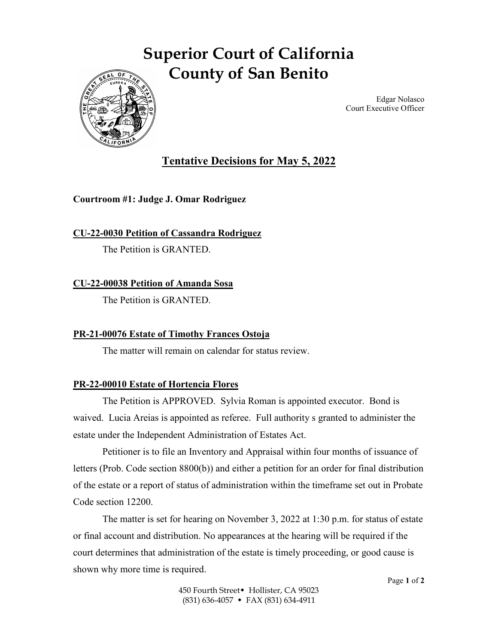# **Superior Court of California County of San Benito**



Edgar Nolasco Court Executive Officer

## **Tentative Decisions for May 5, 2022**

#### **Courtroom #1: Judge J. Omar Rodriguez**

**CU-22-0030 Petition of Cassandra Rodriguez**

The Petition is GRANTED.

### **CU-22-00038 Petition of Amanda Sosa**

The Petition is GRANTED.

#### **PR-21-00076 Estate of Timothy Frances Ostoja**

The matter will remain on calendar for status review.

## **PR-22-00010 Estate of Hortencia Flores**

The Petition is APPROVED. Sylvia Roman is appointed executor. Bond is waived. Lucia Areias is appointed as referee. Full authority s granted to administer the estate under the Independent Administration of Estates Act.

Petitioner is to file an Inventory and Appraisal within four months of issuance of letters (Prob. Code section 8800(b)) and either a petition for an order for final distribution of the estate or a report of status of administration within the timeframe set out in Probate Code section 12200.

The matter is set for hearing on November 3, 2022 at 1:30 p.m. for status of estate or final account and distribution. No appearances at the hearing will be required if the court determines that administration of the estate is timely proceeding, or good cause is shown why more time is required.